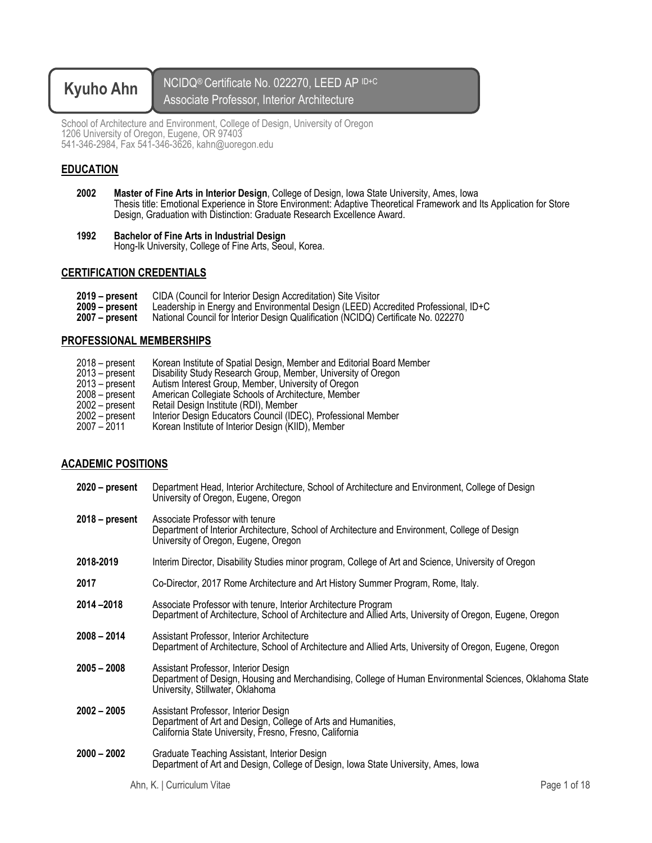# **Kyuho Ahn** NCIDQ® Certificate No. 022270, LEED AP ID+C Associate Professor, Interior Architecture

School of Architecture and Environment, College of Design, University of Oregon 1206 University of Oregon, Eugene, OR 97403 541-346-2984, Fax 541-346-3626, kahn@uoregon.edu

## **EDUCATION**

- **2002 Master of Fine Arts in Interior Design**, College of Design, Iowa State University, Ames, Iowa Thesis title: Emotional Experience in Store Environment: Adaptive Theoretical Framework and Its Application for Store Design, Graduation with Distinction: Graduate Research Excellence Award.
- **<sup>1992</sup> Bachelor of Fine Arts in Industrial Design** Hong-Ik University, College of Fine Arts, Seoul, Korea.

## **CERTIFICATION CREDENTIALS**

| 2019 – present | CIDA (Council for Interior Design Accreditation) Site Visitor       |
|----------------|---------------------------------------------------------------------|
| 2009 – present | Leadership in Energy and Environmental Design (LEED) Accredited Pro |

**2009 – present** Leadership in Energy and Environmental Design (LEED) Accredited Professional, ID+C **2007 – present** National Council for Interior Design Qualification (NCIDQ) Certificate No. 022270

## **PROFESSIONAL MEMBERSHIPS**

- 2018 present Korean Institute of Spatial Design, Member and Editorial Board Member<br>2013 present Disability Study Research Group, Member, University of Oregon
- Disability Study Research Group, Member, University of Oregon
- 2013 present Autism Interest Group, Member, University of Oregon
- 2008 present American Collegiate Schools of Architecture, Member<br>2002 present Retail Design Institute (RDI), Member
- 
- 2002 present Retail Design Institute (RDI), Member<br>2002 present Interior Design Educators Council (ID<br>2007 2011 Korean Institute of Interior Design (KII Interior Design Educators Council (IDEC), Professional Member
- Korean Institute of Interior Design (KIID), Member

## **ACADEMIC POSITIONS**

**2020 – present** Department Head, Interior Architecture, School of Architecture and Environment, College of Design University of Oregon, Eugene, Oregon **2018 – present** Associate Professor with tenure Department of Interior Architecture, School of Architecture and Environment, College of Design University of Oregon, Eugene, Oregon **2018-2019** Interim Director, Disability Studies minor program, College of Art and Science, University of Oregon **2017** Co-Director, 2017 Rome Architecture and Art History Summer Program, Rome, Italy. **2014 –2018** Associate Professor with tenure, Interior Architecture Program Department of Architecture, School of Architecture and Allied Arts, University of Oregon, Eugene, Oregon **2008 – 2014** Assistant Professor, Interior Architecture Department of Architecture, School of Architecture and Allied Arts, University of Oregon, Eugene, Oregon **2005 – 2008** Assistant Professor, Interior Design Department of Design, Housing and Merchandising, College of Human Environmental Sciences, Oklahoma State University, Stillwater, Oklahoma **2002 – 2005** Assistant Professor, Interior Design Department of Art and Design, College of Arts and Humanities, California State University, Fresno, Fresno, California **2000 – 2002** Graduate Teaching Assistant, Interior Design Department of Art and Design, College of Design, Iowa State University, Ames, Iowa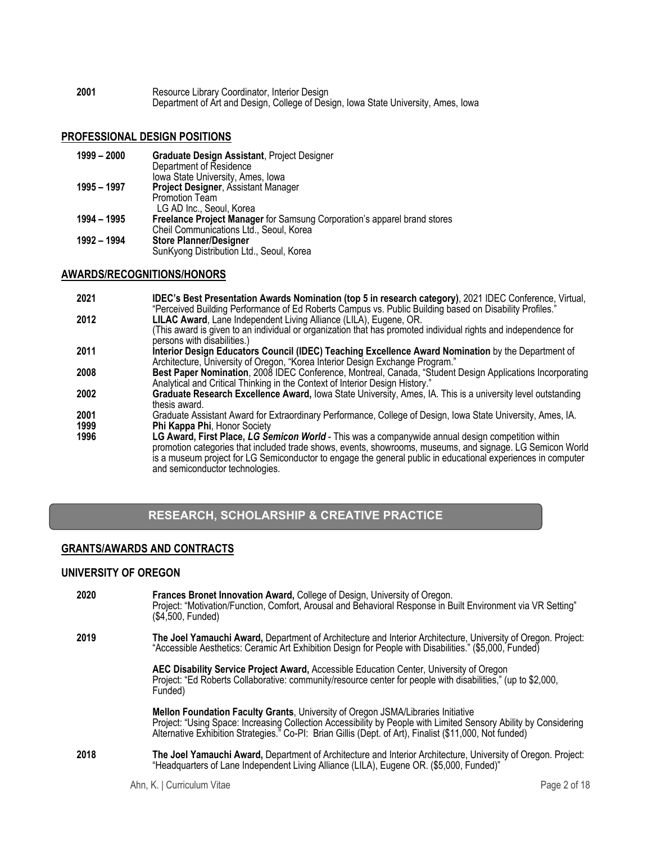**2001** Resource Library Coordinator, Interior Design Department of Art and Design, College of Design, Iowa State University, Ames, Iowa

## **PROFESSIONAL DESIGN POSITIONS**

| $1999 - 2000$ | <b>Graduate Design Assistant, Project Designer</b>                       |
|---------------|--------------------------------------------------------------------------|
|               | Department of Residence                                                  |
|               | Iowa State University, Ames, Iowa                                        |
| 1995 - 1997   | <b>Project Designer, Assistant Manager</b>                               |
|               | <b>Promotion Team</b>                                                    |
|               | LG AD Inc., Seoul, Korea                                                 |
| 1994 - 1995   | Freelance Project Manager for Samsung Corporation's apparel brand stores |
|               | Cheil Communications Ltd., Seoul, Korea                                  |
| 1992 - 1994   | <b>Store Planner/Designer</b>                                            |
|               | SunKyong Distribution Ltd., Seoul, Korea                                 |

## **AWARDS/RECOGNITIONS/HONORS**

- **2021 IDEC's Best Presentation Awards Nomination (top 5 in research category)**, 2021 IDEC Conference, Virtual, "Perceived Building Performance of Ed Roberts Campus vs. Public Building based on Disability Profiles."
- **2012 LILAC Award**, Lane Independent Living Alliance (LILA), Eugene, OR.
- (This award is given to an individual or organization that has promoted individual rights and independence for persons with disabilities.)
- **2011 Interior Design Educators Council (IDEC) Teaching Excellence Award Nomination** by the Department of Architecture, University of Oregon, "Korea Interior Design Exchange Program."
- **2008 Best Paper Nomination**, 2008 IDEC Conference, Montreal, Canada, "Student Design Applications Incorporating Analytical and Critical Thinking in the Context of Interior Design History."
- **2002 Graduate Research Excellence Award,** Iowa State University, Ames, IA. This is a university level outstanding thesis award.
- **2001** Graduate Assistant Award for Extraordinary Performance, College of Design, Iowa State University, Ames, IA. **1999 Phi Kappa Phi**, Honor Society
- LG Award, First Place, LG Semicon World This was a companywide annual design competition within promotion categories that included trade shows, events, showrooms, museums, and signage. LG Semicon World is a museum project for LG Semiconductor to engage the general public in educational experiences in computer and semiconductor technologies.

# **RESEARCH, SCHOLARSHIP & CREATIVE PRACTICE**

## **GRANTS/AWARDS AND CONTRACTS**

#### **UNIVERSITY OF OREGON**

| 2020 | Frances Bronet Innovation Award, College of Design, University of Oregon.<br>Project: "Motivation/Function, Comfort, Arousal and Behavioral Response in Built Environment via VR Setting"<br>(\$4,500, Funded)                                                                                                  |
|------|-----------------------------------------------------------------------------------------------------------------------------------------------------------------------------------------------------------------------------------------------------------------------------------------------------------------|
| 2019 | The Joel Yamauchi Award, Department of Architecture and Interior Architecture, University of Oregon. Project:<br>"Accessible Aesthetics: Ceramic Art Exhibition Design for People with Disabilities." (\$5,000, Funded)                                                                                         |
|      | AEC Disability Service Project Award, Accessible Education Center, University of Oregon<br>Project: "Ed Roberts Collaborative: community/resource center for people with disabilities," (up to \$2,000,<br>Funded)                                                                                              |
|      | Mellon Foundation Faculty Grants, University of Oregon JSMA/Libraries Initiative<br>Project: "Using Space: Increasing Collection Accessibility by People with Limited Sensory Ability by Considering<br>Alternative Exhibition Strategies." Co-PI: Brian Gillis (Dept. of Art), Finalist (\$11,000, Not funded) |
| 2018 | The Joel Yamauchi Award, Department of Architecture and Interior Architecture, University of Oregon. Project:<br>"Headquarters of Lane Independent Living Alliance (LILA), Eugene OR. (\$5,000, Funded)"                                                                                                        |

Ahn, K. | Curriculum Vitae **Page 2 of 18**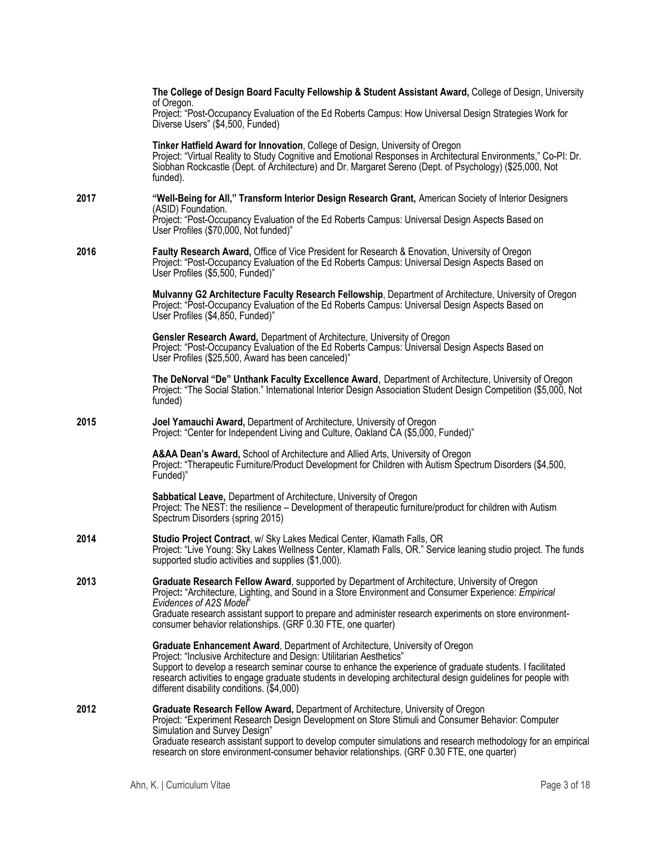|      | The College of Design Board Faculty Fellowship & Student Assistant Award, College of Design, University<br>of Oregon.<br>Project: "Post-Occupancy Evaluation of the Ed Roberts Campus: How Universal Design Strategies Work for<br>Diverse Users" (\$4,500, Funded)                                                                                                                                                                   |
|------|---------------------------------------------------------------------------------------------------------------------------------------------------------------------------------------------------------------------------------------------------------------------------------------------------------------------------------------------------------------------------------------------------------------------------------------|
|      | Tinker Hatfield Award for Innovation, College of Design, University of Oregon<br>Project: "Virtual Reality to Study Cognitive and Emotional Responses in Architectural Environments," Co-PI: Dr.<br>Siobhan Rockcastle (Dept. of Architecture) and Dr. Margaret Sereno (Dept. of Psychology) (\$25,000, Not<br>funded).                                                                                                               |
| 2017 | "Well-Being for All," Transform Interior Design Research Grant, American Society of Interior Designers<br>(ASID) Foundation.<br>Project: "Post-Occupancy Evaluation of the Ed Roberts Campus: Universal Design Aspects Based on<br>User Profiles (\$70,000, Not funded)"                                                                                                                                                              |
| 2016 | Faulty Research Award, Office of Vice President for Research & Enovation, University of Oregon<br>Project: "Post-Occupancy Evaluation of the Ed Roberts Campus: Universal Design Aspects Based on<br>User Profiles (\$5,500, Funded)"                                                                                                                                                                                                 |
|      | Mulvanny G2 Architecture Faculty Research Fellowship, Department of Architecture, University of Oregon<br>Project: "Post-Occupancy Evaluation of the Ed Roberts Campus: Universal Design Aspects Based on<br>User Profiles (\$4,850, Funded)"                                                                                                                                                                                         |
|      | Gensler Research Award, Department of Architecture, University of Oregon<br>Project: "Post-Occupancy Evaluation of the Ed Roberts Campus: Universal Design Aspects Based on<br>User Profiles (\$25,500, Award has been canceled)"                                                                                                                                                                                                     |
|      | The DeNorval "De" Unthank Faculty Excellence Award, Department of Architecture, University of Oregon<br>Project: "The Social Station." International Interior Design Association Student Design Competition (\$5,000, Not<br>funded)                                                                                                                                                                                                  |
| 2015 | Joel Yamauchi Award, Department of Architecture, University of Oregon<br>Project: "Center for Independent Living and Culture, Oakland CA (\$5,000, Funded)"                                                                                                                                                                                                                                                                           |
|      | A&AA Dean's Award, School of Architecture and Allied Arts, University of Oregon<br>Project: "Therapeutic Furniture/Product Development for Children with Autism Spectrum Disorders (\$4,500,<br>Funded)"                                                                                                                                                                                                                              |
|      | Sabbatical Leave, Department of Architecture, University of Oregon<br>Project: The NEST: the resilience - Development of therapeutic furniture/product for children with Autism<br>Spectrum Disorders (spring 2015)                                                                                                                                                                                                                   |
| 2014 | Studio Project Contract, w/ Sky Lakes Medical Center, Klamath Falls, OR<br>Project: "Live Young: Sky Lakes Wellness Center, Klamath Falls, OR." Service leaning studio project. The funds<br>supported studio activities and supplies (\$1,000).                                                                                                                                                                                      |
| 2013 | Graduate Research Fellow Award, supported by Department of Architecture, University of Oregon<br>Project: "Architecture, Lighting, and Sound in a Store Environment and Consumer Experience: Empirical<br>Evidences of A2S Model"<br>Graduate research assistant support to prepare and administer research experiments on store environment-<br>consumer behavior relationships. (GRF 0.30 FTE, one quarter)                         |
|      | Graduate Enhancement Award, Department of Architecture, University of Oregon<br>Project: "Inclusive Architecture and Design: Utilitarian Aesthetics"<br>Support to develop a research seminar course to enhance the experience of graduate students. I facilitated<br>research activities to engage graduate students in developing architectural design guidelines for people with<br>different disability conditions. (\$4,000)     |
| 2012 | Graduate Research Fellow Award, Department of Architecture, University of Oregon<br>Project: "Experiment Research Design Development on Store Stimuli and Consumer Behavior: Computer<br>Simulation and Survey Design"<br>Graduate research assistant support to develop computer simulations and research methodology for an empirical<br>research on store environment-consumer behavior relationships. (GRF 0.30 FTE, one quarter) |
|      |                                                                                                                                                                                                                                                                                                                                                                                                                                       |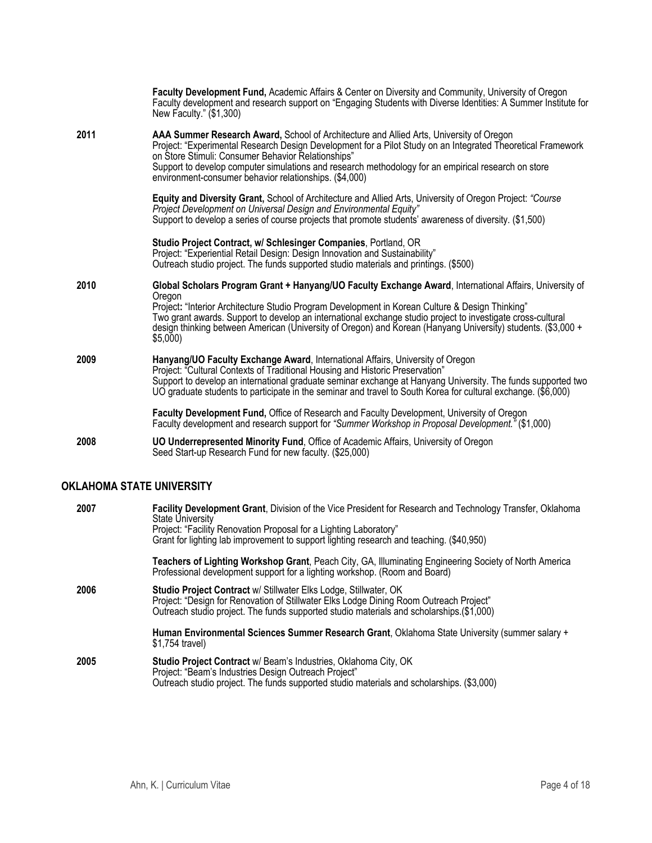| 2011<br>AAA Summer Research Award, School of Architecture and Allied Arts, University of Oregon<br>Project: "Experimental Research Design Development for a Pilot Study on an Integrated Theoretical Framework<br>on Store Stimuli: Consumer Behavior Relationships"<br>Support to develop computer simulations and research methodology for an empirical research on store<br>environment-consumer behavior relationships. (\$4,000)<br>Equity and Diversity Grant, School of Architecture and Allied Arts, University of Oregon Project: "Course<br>Project Development on Universal Design and Environmental Equity"<br>Support to develop a series of course projects that promote students' awareness of diversity. (\$1,500)<br>Studio Project Contract, w/ Schlesinger Companies, Portland, OR<br>Project: "Experiential Retail Design: Design Innovation and Sustainability"<br>Outreach studio project. The funds supported studio materials and printings. (\$500)<br>2010<br>Global Scholars Program Grant + Hanyang/UO Faculty Exchange Award, International Affairs, University of<br>Oregon<br>Project: "Interior Architecture Studio Program Development in Korean Culture & Design Thinking"<br>Two grant awards. Support to develop an international exchange studio project to investigate cross-cultural<br>design thinking between American (University of Oregon) and Korean (Hanyang University) students. (\$3,000 +<br>\$5,000<br>2009<br>Hanyang/UO Faculty Exchange Award, International Affairs, University of Oregon<br>Project: "Cultural Contexts of Traditional Housing and Historic Preservation"<br>Support to develop an international graduate seminar exchange at Hanyang University. The funds supported two<br>UO graduate students to participate in the seminar and travel to South Korea for cultural exchange. (\$6,000)<br>Faculty Development Fund, Office of Research and Faculty Development, University of Oregon<br>Faculty development and research support for "Summer Workshop in Proposal Development." (\$1,000) | Faculty Development Fund, Academic Affairs & Center on Diversity and Community, University of Oregon<br>Faculty development and research support on "Engaging Students with Diverse Identities: A Summer Institute for<br>New Faculty." $(1,300)$ |
|-----------------------------------------------------------------------------------------------------------------------------------------------------------------------------------------------------------------------------------------------------------------------------------------------------------------------------------------------------------------------------------------------------------------------------------------------------------------------------------------------------------------------------------------------------------------------------------------------------------------------------------------------------------------------------------------------------------------------------------------------------------------------------------------------------------------------------------------------------------------------------------------------------------------------------------------------------------------------------------------------------------------------------------------------------------------------------------------------------------------------------------------------------------------------------------------------------------------------------------------------------------------------------------------------------------------------------------------------------------------------------------------------------------------------------------------------------------------------------------------------------------------------------------------------------------------------------------------------------------------------------------------------------------------------------------------------------------------------------------------------------------------------------------------------------------------------------------------------------------------------------------------------------------------------------------------------------------------------------------------------------------------------------------------------------------------------|---------------------------------------------------------------------------------------------------------------------------------------------------------------------------------------------------------------------------------------------------|
|                                                                                                                                                                                                                                                                                                                                                                                                                                                                                                                                                                                                                                                                                                                                                                                                                                                                                                                                                                                                                                                                                                                                                                                                                                                                                                                                                                                                                                                                                                                                                                                                                                                                                                                                                                                                                                                                                                                                                                                                                                                                       |                                                                                                                                                                                                                                                   |
|                                                                                                                                                                                                                                                                                                                                                                                                                                                                                                                                                                                                                                                                                                                                                                                                                                                                                                                                                                                                                                                                                                                                                                                                                                                                                                                                                                                                                                                                                                                                                                                                                                                                                                                                                                                                                                                                                                                                                                                                                                                                       |                                                                                                                                                                                                                                                   |
|                                                                                                                                                                                                                                                                                                                                                                                                                                                                                                                                                                                                                                                                                                                                                                                                                                                                                                                                                                                                                                                                                                                                                                                                                                                                                                                                                                                                                                                                                                                                                                                                                                                                                                                                                                                                                                                                                                                                                                                                                                                                       |                                                                                                                                                                                                                                                   |
|                                                                                                                                                                                                                                                                                                                                                                                                                                                                                                                                                                                                                                                                                                                                                                                                                                                                                                                                                                                                                                                                                                                                                                                                                                                                                                                                                                                                                                                                                                                                                                                                                                                                                                                                                                                                                                                                                                                                                                                                                                                                       |                                                                                                                                                                                                                                                   |
|                                                                                                                                                                                                                                                                                                                                                                                                                                                                                                                                                                                                                                                                                                                                                                                                                                                                                                                                                                                                                                                                                                                                                                                                                                                                                                                                                                                                                                                                                                                                                                                                                                                                                                                                                                                                                                                                                                                                                                                                                                                                       |                                                                                                                                                                                                                                                   |
|                                                                                                                                                                                                                                                                                                                                                                                                                                                                                                                                                                                                                                                                                                                                                                                                                                                                                                                                                                                                                                                                                                                                                                                                                                                                                                                                                                                                                                                                                                                                                                                                                                                                                                                                                                                                                                                                                                                                                                                                                                                                       |                                                                                                                                                                                                                                                   |
| UO Underrepresented Minority Fund, Office of Academic Affairs, University of Oregon<br>2008<br>Seed Start-up Research Fund for new faculty. (\$25,000)                                                                                                                                                                                                                                                                                                                                                                                                                                                                                                                                                                                                                                                                                                                                                                                                                                                                                                                                                                                                                                                                                                                                                                                                                                                                                                                                                                                                                                                                                                                                                                                                                                                                                                                                                                                                                                                                                                                |                                                                                                                                                                                                                                                   |

# **OKLAHOMA STATE UNIVERSITY**

| 2007 | Facility Development Grant, Division of the Vice President for Research and Technology Transfer, Oklahoma<br><b>State University</b><br>Project: "Facility Renovation Proposal for a Lighting Laboratory"<br>Grant for lighting lab improvement to support lighting research and teaching. (\$40,950) |
|------|-------------------------------------------------------------------------------------------------------------------------------------------------------------------------------------------------------------------------------------------------------------------------------------------------------|
|      | Teachers of Lighting Workshop Grant, Peach City, GA, Illuminating Engineering Society of North America<br>Professional development support for a lighting workshop. (Room and Board)                                                                                                                  |
| 2006 | <b>Studio Project Contract w/ Stillwater Elks Lodge, Stillwater, OK</b><br>Project: "Design for Renovation of Stillwater Elks Lodge Dining Room Outreach Project"<br>Outreach studio project. The funds supported studio materials and scholarships. (\$1,000)                                        |
|      | Human Environmental Sciences Summer Research Grant, Oklahoma State University (summer salary +<br>\$1,754 travel)                                                                                                                                                                                     |
| 2005 | <b>Studio Project Contract w/ Beam's Industries, Oklahoma City, OK</b><br>Project: "Beam's Industries Design Outreach Project"<br>Outreach studio project. The funds supported studio materials and scholarships. (\$3,000)                                                                           |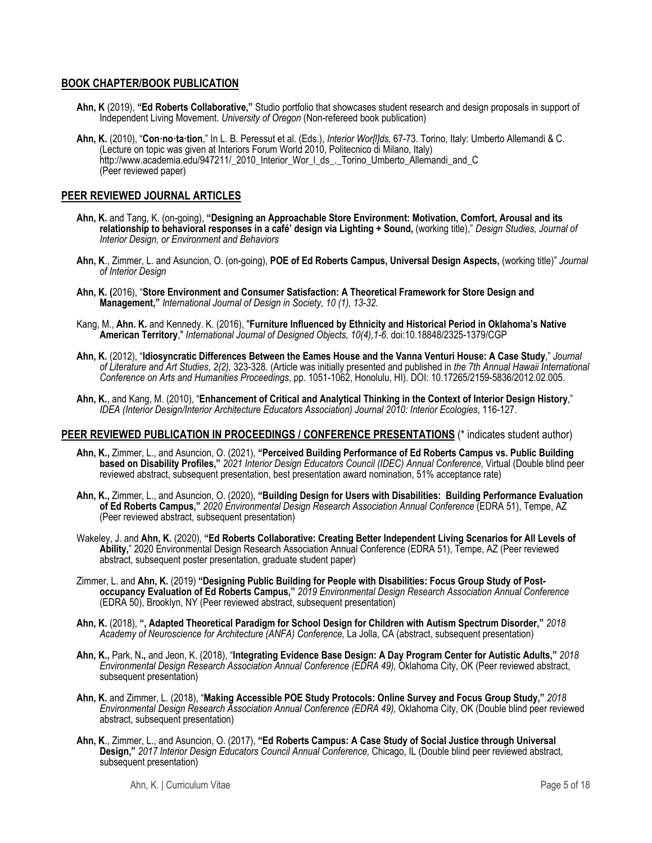## **BOOK CHAPTER/BOOK PUBLICATION**

- **Ahn, K** (2019), **"Ed Roberts Collaborative,"** Studio portfolio that showcases student research and design proposals in support of Independent Living Movement. *University of Oregon* (Non-refereed book publication)
- **Ahn, K.** (2010), "**Con·no·ta·tion**," In L. B. Peressut et al. (Eds.), *Interior Wor[l]ds,* 67-73. Torino, Italy: Umberto Allemandi & C. (Lecture on topic was given at Interiors Forum World 2010, Politecnico di Milano, Italy) http://www.academia.edu/947211/\_2010\_Interior\_Wor\_l\_ds\_.\_Torino\_Umberto\_Allemandi\_and\_C (Peer reviewed paper)

#### **PEER REVIEWED JOURNAL ARTICLES**

- **Ahn, K.** and Tang, K. (on-going), **"Designing an Approachable Store Environment: Motivation, Comfort, Arousal and its relationship to behavioral responses in a café' design via Lighting + Sound,** (working title)," *Design Studies, Journal of Interior Design, or Environment and Behaviors*
- **Ahn, K**., Zimmer, L. and Asuncion, O. (on-going), **POE of Ed Roberts Campus, Universal Design Aspects,** (working title)" *Journal of Interior Design*
- **Ahn, K. (**2016), "**Store Environment and Consumer Satisfaction: A Theoretical Framework for Store Design and Management,"** *International Journal of Design in Society, 10 (1), 13-32.*
- Kang, M., **Ahn. K.** and Kennedy. K. (2016), "**Furniture Influenced by Ethnicity and Historical Period in Oklahoma's Native American Territory**," *International Journal of Designed Objects, 10(4),1-6.* doi:10.18848/2325-1379/CGP
- **Ahn, K.** (2012), "**Idiosyncratic Differences Between the Eames House and the Vanna Venturi House: A Case Study**," *Journal of Literature and Art Studies, 2(2),* 323-328*.* (Article was initially presented and published in *the 7th Annual Hawaii International Conference on Arts and Humanities Proceedings*, pp. 1051-1062, Honolulu, HI). DOI: 10.17265/2159-5836/2012.02.005.
- **Ahn, K.**, and Kang, M. (2010), "**Enhancement of Critical and Analytical Thinking in the Context of Interior Design History**," *IDEA (Interior Design/Interior Architecture Educators Association) Journal 2010: Interior Ecologies*, 116-127.

#### **PEER REVIEWED PUBLICATION IN PROCEEDINGS / CONFERENCE PRESENTATIONS** (\* indicates student author)

- **Ahn, K.,** Zimmer, L., and Asuncion, O. (2021), **"Perceived Building Performance of Ed Roberts Campus vs. Public Building based on Disability Profiles,"** *2021 Interior Design Educators Council (IDEC) Annual Conference,* Virtual (Double blind peer reviewed abstract, subsequent presentation, best presentation award nomination, 51% acceptance rate)
- **Ahn, K.,** Zimmer, L., and Asuncion, O. (2020), **"Building Design for Users with Disabilities: Building Performance Evaluation of Ed Roberts Campus,"** *2020 Environmental Design Research Association Annual Conference* (EDRA 51), Tempe, AZ (Peer reviewed abstract, subsequent presentation)
- Wakeley, J. and **Ahn, K.** (2020), **"Ed Roberts Collaborative: Creating Better Independent Living Scenarios for All Levels of**  Ability," 2020 Environmental Design Research Association Annual Conference (EDRA 51), Tempe, AZ (Peer reviewed abstract, subsequent poster presentation, graduate student paper)
- Zimmer, L. and **Ahn, K.** (2019) **"Designing Public Building for People with Disabilities: Focus Group Study of Postoccupancy Evaluation of Ed Roberts Campus,"** *2019 Environmental Design Research Association Annual Conference* (EDRA 50), Brooklyn, NY (Peer reviewed abstract, subsequent presentation)
- **Ahn, K.** (2018), **", Adapted Theoretical Paradigm for School Design for Children with Autism Spectrum Disorder,"** *2018 Academy of Neuroscience for Architecture (ANFA) Conference,* La Jolla, CA (abstract, subsequent presentation)
- **Ahn, K.,** Park, N**.,** and Jeon, K. (2018), "**Integrating Evidence Base Design: A Day Program Center for Autistic Adults,"** *2018 Environmental Design Research Association Annual Conference (EDRA 49), Oklahoma City, OK (Peer reviewed abstract,* subsequent presentation)
- **Ahn, K.** and Zimmer, L. (2018), "**Making Accessible POE Study Protocols: Online Survey and Focus Group Study,"** *2018 Environmental Design Research Association Annual Conference (EDRA 49),* Oklahoma City, OK (Double blind peer reviewed abstract, subsequent presentation)
- **Ahn, K**., Zimmer, L., and Asuncion, O. (2017), **"Ed Roberts Campus: A Case Study of Social Justice through Universal Design,"** *2017 Interior Design Educators Council Annual Conference,* Chicago, IL (Double blind peer reviewed abstract, subsequent presentation)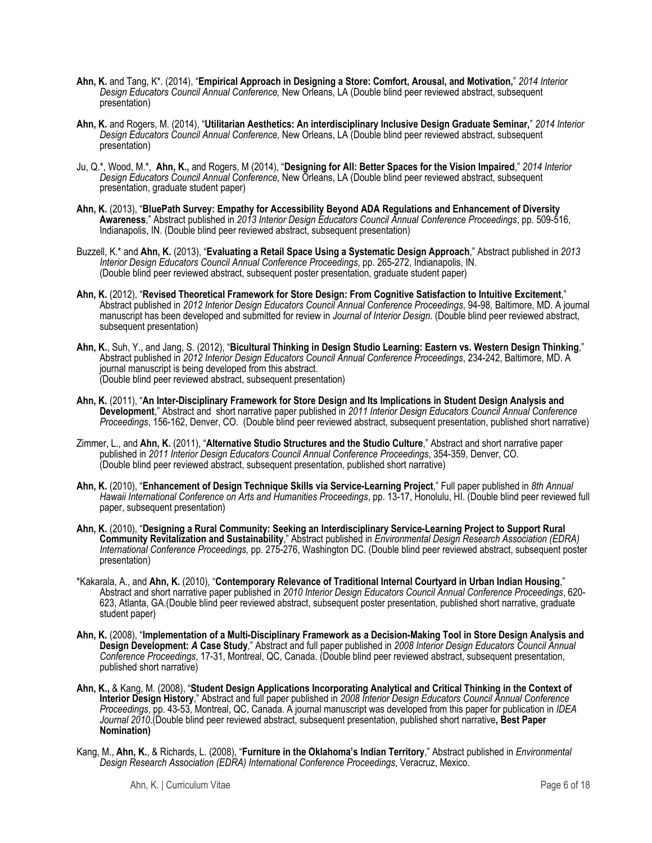- **Ahn, K.** and Tang, K\*. (2014), "**Empirical Approach in Designing a Store: Comfort, Arousal, and Motivation,**" *2014 Interior Design Educators Council Annual Conference,* New Orleans, LA (Double blind peer reviewed abstract, subsequent presentation)
- **Ahn, K.** and Rogers, M. (2014), "**Utilitarian Aesthetics: An interdisciplinary Inclusive Design Graduate Seminar,**" *2014 Interior Design Educators Council Annual Conference,* New Orleans, LA (Double blind peer reviewed abstract, subsequent presentation)
- Ju, Q.\*, Wood, M.\*, **Ahn, K.,** and Rogers, M (2014), "**Designing for All: Better Spaces for the Vision Impaired**," *2014 Interior Design Educators Council Annual Conference,* New Orleans, LA (Double blind peer reviewed abstract, subsequent presentation, graduate student paper)
- **Ahn, K.** (2013), "**BluePath Survey: Empathy for Accessibility Beyond ADA Regulations and Enhancement of Diversity Awareness**," Abstract published in *2013 Interior Design Educators Council Annual Conference Proceedings*, pp. 509-516, Indianapolis, IN. (Double blind peer reviewed abstract, subsequent presentation)
- Buzzell, K.\* and **Ahn, K.** (2013), "**Evaluating a Retail Space Using a Systematic Design Approach**," Abstract published in *2013 Interior Design Educators Council Annual Conference Proceedings*, pp. 265-272, Indianapolis, IN. (Double blind peer reviewed abstract, subsequent poster presentation, graduate student paper)
- **Ahn, K.** (2012), "**Revised Theoretical Framework for Store Design: From Cognitive Satisfaction to Intuitive Excitement**," Abstract published in *2012 Interior Design Educators Council Annual Conference Proceedings*, 94-98, Baltimore, MD. A journal manuscript has been developed and submitted for review in *Journal of Interior Design*. (Double blind peer reviewed abstract, subsequent presentation)
- **Ahn, K.**, Suh, Y., and Jang, S. (2012), "**Bicultural Thinking in Design Studio Learning: Eastern vs. Western Design Thinking**," Abstract published in *2012 Interior Design Educators Council Annual Conference Proceedings*, 234-242, Baltimore, MD. A journal manuscript is being developed from this abstract. (Double blind peer reviewed abstract, subsequent presentation)
- **Ahn, K.** (2011), "**An Inter-Disciplinary Framework for Store Design and Its Implications in Student Design Analysis and Development**," Abstract and short narrative paper published in *2011 Interior Design Educators Council Annual Conference Proceedings*, 156-162, Denver, CO. (Double blind peer reviewed abstract, subsequent presentation, published short narrative)
- Zimmer, L., and **Ahn, K.** (2011), "**Alternative Studio Structures and the Studio Culture**," Abstract and short narrative paper published in *2011 Interior Design Educators Council Annual Conference Proceedings*, 354-359, Denver, CO. (Double blind peer reviewed abstract, subsequent presentation, published short narrative)
- **Ahn, K.** (2010), "**Enhancement of Design Technique Skills via Service-Learning Project**," Full paper published in *8th Annual Hawaii International Conference on Arts and Humanities Proceedings*, pp. 13-17, Honolulu, HI. (Double blind peer reviewed full paper, subsequent presentation)
- **Ahn, K.** (2010), "**Designing a Rural Community: Seeking an Interdisciplinary Service-Learning Project to Support Rural Community Revitalization and Sustainability**," Abstract published in *Environmental Design Research Association (EDRA) International Conference Proceedings,* pp. 275-276, Washington DC. (Double blind peer reviewed abstract, subsequent poster presentation)
- \*Kakarala, A., and **Ahn, K.** (2010), "**Contemporary Relevance of Traditional Internal Courtyard in Urban Indian Housing**," Abstract and short narrative paper published in *2010 Interior Design Educators Council Annual Conference Proceedings*, 620- 623, Atlanta, GA.(Double blind peer reviewed abstract, subsequent poster presentation, published short narrative, graduate student paper)
- **Ahn, K.** (2008), "**Implementation of a Multi-Disciplinary Framework as a Decision-Making Tool in Store Design Analysis and Design Development:** *A* **Case Study**," Abstract and full paper published in *2008 Interior Design Educators Council Annual Conference Proceedings*, 17-31, Montreal, QC, Canada. (Double blind peer reviewed abstract, subsequent presentation, published short narrative)
- **Ahn, K.,** & Kang, M. (2008), "**Student Design Applications Incorporating Analytical and Critical Thinking in the Context of Interior Design History**," Abstract and full paper published in *2008 Interior Design Educators Council Annual Conference Proceedings*, pp. 43-53, Montreal, QC, Canada. A journal manuscript was developed from this paper for publication in *IDEA Journal 2010*.(Double blind peer reviewed abstract, subsequent presentation, published short narrative**, Best Paper Nomination)**
- Kang, M., **Ahn, K.**, & Richards, L. (2008), "**Furniture in the Oklahoma's Indian Territory**," Abstract published in *Environmental Design Research Association (EDRA) International Conference Proceedings*, Veracruz, Mexico.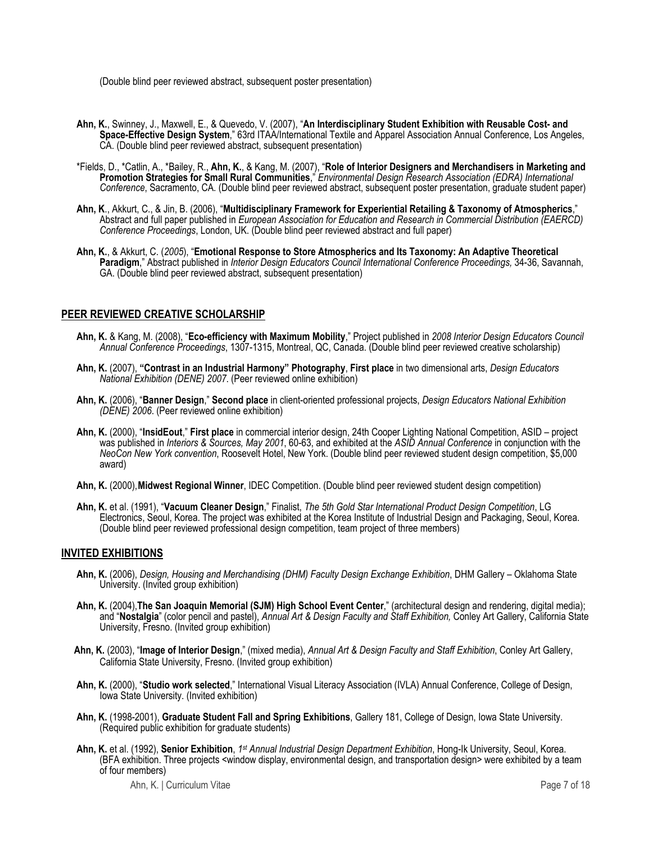(Double blind peer reviewed abstract, subsequent poster presentation)

- **Ahn, K.**, Swinney, J., Maxwell, E., & Quevedo, V. (2007), "**An Interdisciplinary Student Exhibition with Reusable Cost- and Space-Effective Design System**," 63rd ITAA/International Textile and Apparel Association Annual Conference, Los Angeles, CA. (Double blind peer reviewed abstract, subsequent presentation)
- \*Fields, D., \*Catlin, A., \*Bailey, R., **Ahn, K.**, & Kang, M. (2007), "**Role of Interior Designers and Merchandisers in Marketing and Promotion Strategies for Small Rural Communities**," *Environmental Design Research Association (EDRA) International Conference*, Sacramento, CA. (Double blind peer reviewed abstract, subsequent poster presentation, graduate student paper)
- **Ahn, K**., Akkurt, C., & Jin, B. (2006), "**Multidisciplinary Framework for Experiential Retailing & Taxonomy of Atmospherics**," Abstract and full paper published in *European Association for Education and Research in Commercial Distribution (EAERCD) Conference Proceedings*, London, UK. (Double blind peer reviewed abstract and full paper)
- **Ahn, K.**, & Akkurt, C. (*2005*), "**Emotional Response to Store Atmospherics and Its Taxonomy: An Adaptive Theoretical Paradigm**," Abstract published in *Interior Design Educators Council International Conference Proceedings,* 34-36, Savannah, GA. (Double blind peer reviewed abstract, subsequent presentation)

## **PEER REVIEWED CREATIVE SCHOLARSHIP**

- **Ahn, K.** & Kang, M. (2008), "**Eco-efficiency with Maximum Mobility**," Project published in *2008 Interior Design Educators Council Annual Conference Proceedings*, 1307-1315, Montreal, QC, Canada. (Double blind peer reviewed creative scholarship)
- **Ahn, K.** (2007), **"Contrast in an Industrial Harmony" Photography**, **First place** in two dimensional arts, *Design Educators National Exhibition (DENE) 2007*. (Peer reviewed online exhibition)
- **Ahn, K.** (2006), "**Banner Design**," **Second place** in client-oriented professional projects, *Design Educators National Exhibition (DENE) 2006*. (Peer reviewed online exhibition)
- **Ahn, K.** (2000), "**InsidEout**," **First place** in commercial interior design, 24th Cooper Lighting National Competition, ASID project was published in *Interiors & Sources, May 2001*, 60-63, and exhibited at the *ASID Annual Conference* in conjunction with the *NeoCon New York convention*, Roosevelt Hotel, New York. (Double blind peer reviewed student design competition, \$5,000 award)
- **Ahn, K.** (2000), **Midwest Regional Winner**, IDEC Competition. (Double blind peer reviewed student design competition)
- **Ahn, K.** et al. (1991), "**Vacuum Cleaner Design**," Finalist, *The 5th Gold Star International Product Design Competition*, LG Electronics, Seoul, Korea. The project was exhibited at the Korea Institute of Industrial Design and Packaging, Seoul, Korea. (Double blind peer reviewed professional design competition, team project of three members)

## **INVITED EXHIBITIONS**

- **Ahn, K.** (2006), *Design, Housing and Merchandising (DHM) Faculty Design Exchange Exhibition*, DHM Gallery Oklahoma State University. (Invited group exhibition)
- **Ahn, K.** (2004),**The San Joaquin Memorial (SJM) High School Event Center**," (architectural design and rendering, digital media); and "**Nostalgia**" (color pencil and pastel), *Annual Art & Design Faculty and Staff Exhibition,* Conley Art Gallery, California State University, Fresno. (Invited group exhibition)
- **Ahn, K.** (2003), "**Image of Interior Design**," (mixed media), *Annual Art & Design Faculty and Staff Exhibition*, Conley Art Gallery, California State University, Fresno. (Invited group exhibition)
- **Ahn, K.** (2000), "**Studio work selected**," International Visual Literacy Association (IVLA) Annual Conference, College of Design, Iowa State University. (Invited exhibition)
- **Ahn, K.** (1998-2001), **Graduate Student Fall and Spring Exhibitions**, Gallery 181, College of Design, Iowa State University. (Required public exhibition for graduate students)
- **Ahn, K.** et al. (1992), **Senior Exhibition**, *1st Annual Industrial Design Department Exhibition*, Hong-Ik University, Seoul, Korea. (BFA exhibition. Three projects <window display, environmental design, and transportation design> were exhibited by a team of four members)

Ahn, K. | Curriculum Vitae **Page 7 of 18**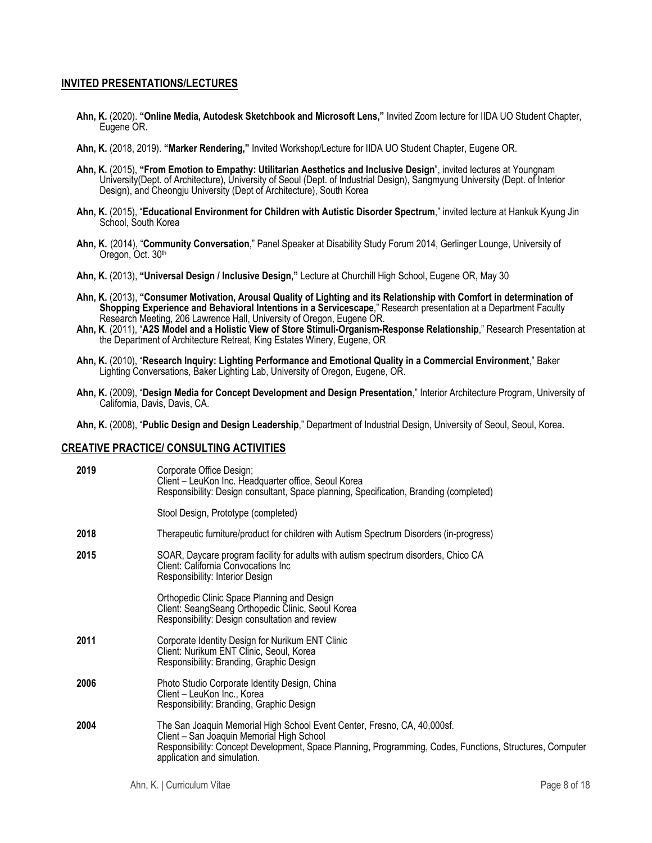## **INVITED PRESENTATIONS/LECTURES**

- **Ahn, K.** (2020). **"Online Media, Autodesk Sketchbook and Microsoft Lens,"** Invited Zoom lecture for IIDA UO Student Chapter, Eugene OR.
- **Ahn, K.** (2018, 2019). **"Marker Rendering,"** Invited Workshop/Lecture for IIDA UO Student Chapter, Eugene OR.
- **Ahn, K.** (2015), **"From Emotion to Empathy: Utilitarian Aesthetics and Inclusive Design**", invited lectures at Youngnam University(Dept. of Architecture), University of Seoul (Dept. of Industrial Design), Sangmyung University (Dept. of Interior Design), and Cheongju University (Dept of Architecture), South Korea
- **Ahn, K.** (2015), "**Educational Environment for Children with Autistic Disorder Spectrum**," invited lecture at Hankuk Kyung Jin School, South Korea
- **Ahn, K.** (2014), "**Community Conversation**," Panel Speaker at Disability Study Forum 2014, Gerlinger Lounge, University of Oregon, Oct. 30th
- **Ahn, K.** (2013), **"Universal Design / Inclusive Design,"** Lecture at Churchill High School, Eugene OR, May 30
- **Ahn, K.** (2013), **"Consumer Motivation, Arousal Quality of Lighting and its Relationship with Comfort in determination of Shopping Experience and Behavioral Intentions in a Servicescape**," Research presentation at a Department Faculty Research Meeting, 206 Lawrence Hall, University of Oregon, Eugene OR.
- **Ahn, K**. (2011), "**A2S Model and a Holistic View of Store Stimuli-Organism-Response Relationship**," Research Presentation at the Department of Architecture Retreat, King Estates Winery, Eugene, OR
- **Ahn, K.** (2010), "**Research Inquiry: Lighting Performance and Emotional Quality in a Commercial Environment**," Baker Lighting Conversations, Baker Lighting Lab, University of Oregon, Eugene, OR.
- **Ahn, K.** (2009), "**Design Media for Concept Development and Design Presentation**," Interior Architecture Program, University of California, Davis, Davis, CA.

**Ahn, K.** (2008), "**Public Design and Design Leadership**," Department of Industrial Design, University of Seoul, Seoul, Korea.

#### **CREATIVE PRACTICE/ CONSULTING ACTIVITIES**

| 2019 | Corporate Office Design;<br>Client - LeuKon Inc. Headquarter office, Seoul Korea<br>Responsibility: Design consultant, Space planning, Specification, Branding (completed)                                                                                       |
|------|------------------------------------------------------------------------------------------------------------------------------------------------------------------------------------------------------------------------------------------------------------------|
|      | Stool Design, Prototype (completed)                                                                                                                                                                                                                              |
| 2018 | Therapeutic furniture/product for children with Autism Spectrum Disorders (in-progress)                                                                                                                                                                          |
| 2015 | SOAR, Daycare program facility for adults with autism spectrum disorders, Chico CA<br>Client: California Convocations Inc.<br>Responsibility: Interior Design                                                                                                    |
|      | Orthopedic Clinic Space Planning and Design<br>Client: SeangSeang Orthopedic Clinic, Seoul Korea<br>Responsibility: Design consultation and review                                                                                                               |
| 2011 | Corporate Identity Design for Nurikum ENT Clinic<br>Client: Nurikum ENT Clinic, Seoul, Korea<br>Responsibility: Branding, Graphic Design                                                                                                                         |
| 2006 | Photo Studio Corporate Identity Design, China<br>Client - LeuKon Inc., Korea<br>Responsibility: Branding, Graphic Design                                                                                                                                         |
| 2004 | The San Joaquin Memorial High School Event Center, Fresno, CA, 40,000sf.<br>Client - San Joaquin Memorial High School<br>Responsibility: Concept Development, Space Planning, Programming, Codes, Functions, Structures, Computer<br>application and simulation. |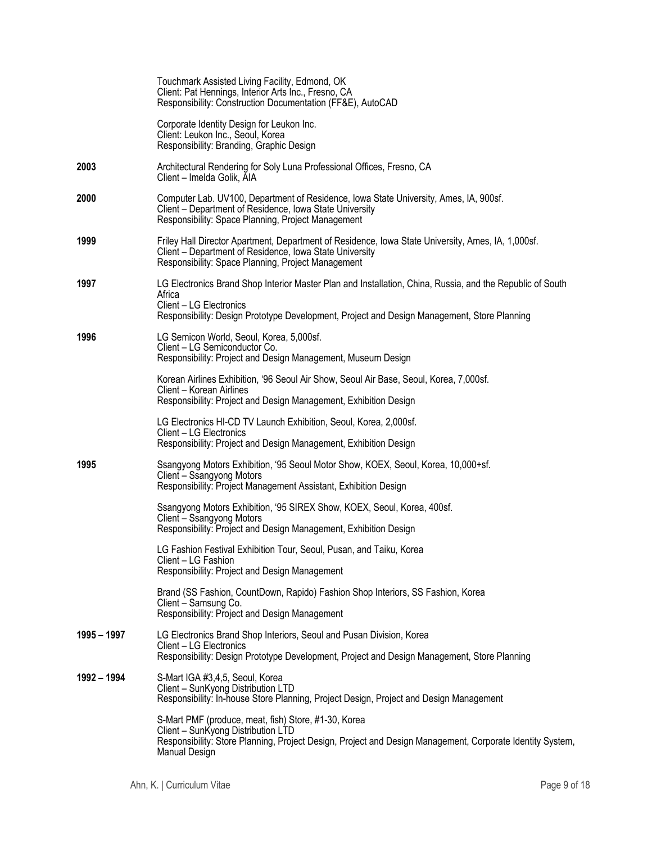|             | Touchmark Assisted Living Facility, Edmond, OK<br>Client: Pat Hennings, Interior Arts Inc., Fresno, CA<br>Responsibility: Construction Documentation (FF&E), AutoCAD                                                                          |
|-------------|-----------------------------------------------------------------------------------------------------------------------------------------------------------------------------------------------------------------------------------------------|
|             | Corporate Identity Design for Leukon Inc.<br>Client: Leukon Inc., Seoul, Korea<br>Responsibility: Branding, Graphic Design                                                                                                                    |
| 2003        | Architectural Rendering for Soly Luna Professional Offices, Fresno, CA<br>Client - Imelda Golik, AIA                                                                                                                                          |
| 2000        | Computer Lab. UV100, Department of Residence, Iowa State University, Ames, IA, 900sf.<br>Client - Department of Residence, Iowa State University<br>Responsibility: Space Planning, Project Management                                        |
| 1999        | Friley Hall Director Apartment, Department of Residence, Iowa State University, Ames, IA, 1,000sf.<br>Client - Department of Residence, Iowa State University<br>Responsibility: Space Planning, Project Management                           |
| 1997        | LG Electronics Brand Shop Interior Master Plan and Installation, China, Russia, and the Republic of South<br>Africa<br>Client - LG Electronics<br>Responsibility: Design Prototype Development, Project and Design Management, Store Planning |
| 1996        | LG Semicon World, Seoul, Korea, 5,000sf.<br>Client - LG Semiconductor Co.<br>Responsibility: Project and Design Management, Museum Design                                                                                                     |
|             | Korean Airlines Exhibition, '96 Seoul Air Show, Seoul Air Base, Seoul, Korea, 7,000sf.<br>Client - Korean Airlines<br>Responsibility: Project and Design Management, Exhibition Design                                                        |
|             | LG Electronics HI-CD TV Launch Exhibition, Seoul, Korea, 2,000sf.<br>Client - LG Electronics<br>Responsibility: Project and Design Management, Exhibition Design                                                                              |
| 1995        | Ssangyong Motors Exhibition, '95 Seoul Motor Show, KOEX, Seoul, Korea, 10,000+sf.<br>Client - Ssangyong Motors<br>Responsibility: Project Management Assistant, Exhibition Design                                                             |
|             | Ssangyong Motors Exhibition, '95 SIREX Show, KOEX, Seoul, Korea, 400sf.<br>Client - Ssangyong Motors<br>Responsibility: Project and Design Management, Exhibition Design                                                                      |
|             | LG Fashion Festival Exhibition Tour, Seoul, Pusan, and Taiku, Korea<br>Client - LG Fashion<br>Responsibility: Project and Design Management                                                                                                   |
|             | Brand (SS Fashion, CountDown, Rapido) Fashion Shop Interiors, SS Fashion, Korea<br>Client - Samsung Co.<br>Responsibility: Project and Design Management                                                                                      |
| 1995 - 1997 | LG Electronics Brand Shop Interiors, Seoul and Pusan Division, Korea<br>Client - LG Electronics<br>Responsibility: Design Prototype Development, Project and Design Management, Store Planning                                                |
| 1992 - 1994 | S-Mart IGA #3,4,5, Seoul, Korea<br>Client - SunKyong Distribution LTD<br>Responsibility: In-house Store Planning, Project Design, Project and Design Management                                                                               |
|             | S-Mart PMF (produce, meat, fish) Store, #1-30, Korea<br>Client - SunKyong Distribution LTD<br>Responsibility: Store Planning, Project Design, Project and Design Management, Corporate Identity System,<br>Manual Design                      |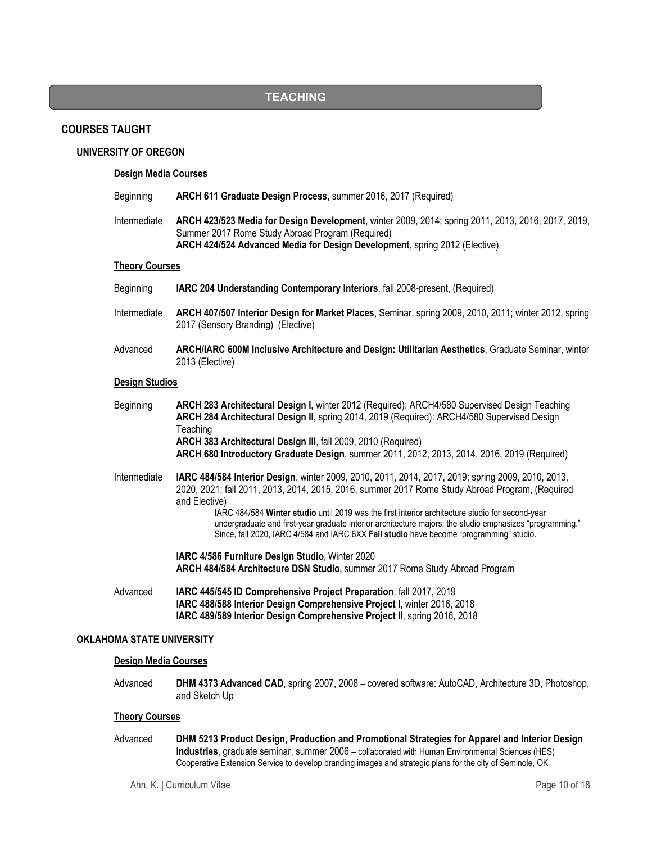# **TEACHING**

## **COURSES TAUGHT**

## **UNIVERSITY OF OREGON**

#### **Design Media Courses**

| Beginning             | ARCH 611 Graduate Design Process, summer 2016, 2017 (Required)                                                                                                                                                                                                                                                                                                                                                                                                                                                                   |
|-----------------------|----------------------------------------------------------------------------------------------------------------------------------------------------------------------------------------------------------------------------------------------------------------------------------------------------------------------------------------------------------------------------------------------------------------------------------------------------------------------------------------------------------------------------------|
| Intermediate          | ARCH 423/523 Media for Design Development, winter 2009, 2014; spring 2011, 2013, 2016, 2017, 2019,<br>Summer 2017 Rome Study Abroad Program (Required)<br>ARCH 424/524 Advanced Media for Design Development, spring 2012 (Elective)                                                                                                                                                                                                                                                                                             |
| <b>Theory Courses</b> |                                                                                                                                                                                                                                                                                                                                                                                                                                                                                                                                  |
| Beginning             | IARC 204 Understanding Contemporary Interiors, fall 2008-present, (Required)                                                                                                                                                                                                                                                                                                                                                                                                                                                     |
| Intermediate          | ARCH 407/507 Interior Design for Market Places, Seminar, spring 2009, 2010, 2011; winter 2012, spring<br>2017 (Sensory Branding) (Elective)                                                                                                                                                                                                                                                                                                                                                                                      |
| Advanced              | ARCH/IARC 600M Inclusive Architecture and Design: Utilitarian Aesthetics, Graduate Seminar, winter<br>2013 (Elective)                                                                                                                                                                                                                                                                                                                                                                                                            |
| <b>Design Studios</b> |                                                                                                                                                                                                                                                                                                                                                                                                                                                                                                                                  |
| Beginning             | ARCH 283 Architectural Design I, winter 2012 (Required): ARCH4/580 Supervised Design Teaching<br>ARCH 284 Architectural Design II, spring 2014, 2019 (Required): ARCH4/580 Supervised Design<br>Teaching<br>ARCH 383 Architectural Design III, fall 2009, 2010 (Required)<br>ARCH 680 Introductory Graduate Design, summer 2011, 2012, 2013, 2014, 2016, 2019 (Required)                                                                                                                                                         |
| Intermediate          | IARC 484/584 Interior Design, winter 2009, 2010, 2011, 2014, 2017, 2019; spring 2009, 2010, 2013,<br>2020, 2021; fall 2011, 2013, 2014, 2015, 2016, summer 2017 Rome Study Abroad Program, (Required<br>and Elective)<br>IARC 484/584 Winter studio until 2019 was the first interior architecture studio for second-year<br>undergraduate and first-year graduate interior architecture majors; the studio emphasizes "programming."<br>Since, fall 2020, IARC 4/584 and IARC 6XX Fall studio have become "programming" studio. |
|                       | IARC 4/586 Furniture Design Studio, Winter 2020<br>ARCH 484/584 Architecture DSN Studio, summer 2017 Rome Study Abroad Program                                                                                                                                                                                                                                                                                                                                                                                                   |
| Advanced              | IARC 445/545 ID Comprehensive Project Preparation, fall 2017, 2019<br>IARC 488/588 Interior Design Comprehensive Project I, winter 2016, 2018<br>IARC 489/589 Interior Design Comprehensive Project II, spring 2016, 2018                                                                                                                                                                                                                                                                                                        |

## **OKLAHOMA STATE UNIVERSITY**

#### **Design Media Courses**

 Advanced **DHM 4373 Advanced CAD**, spring 2007, 2008 – covered software: AutoCAD, Architecture 3D, Photoshop, and Sketch Up

## **Theory Courses**

 Advanced **DHM 5213 Product Design, Production and Promotional Strategies for Apparel and Interior Design Industries**, graduate seminar, summer 2006 – collaborated with Human Environmental Sciences (HES) Cooperative Extension Service to develop branding images and strategic plans for the city of Seminole, OK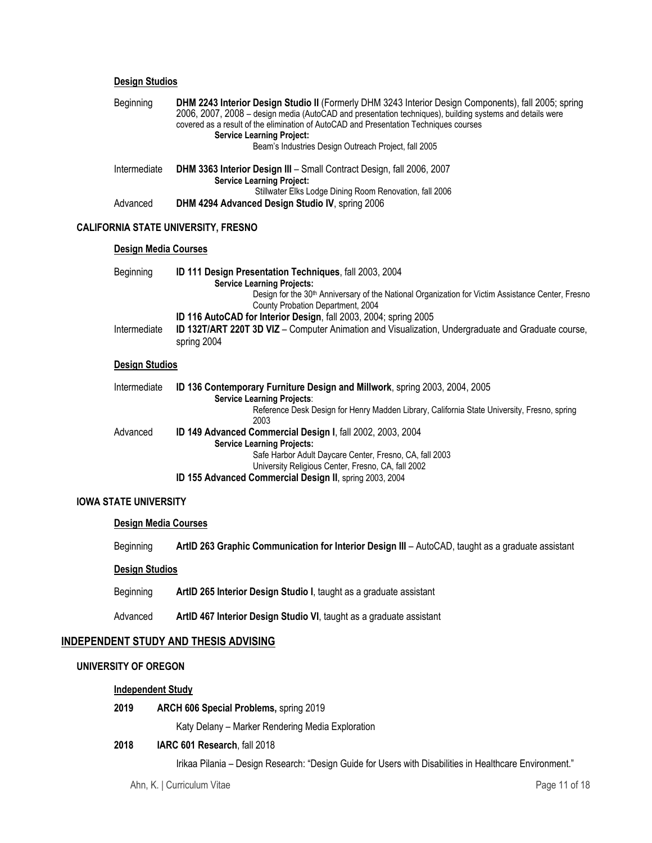## **Design Studios**

| Beginning                   | DHM 2243 Interior Design Studio II (Formerly DHM 3243 Interior Design Components), fall 2005; spring<br>2006, 2007, 2008 - design media (AutoCAD and presentation techniques), building systems and details were<br>covered as a result of the elimination of AutoCAD and Presentation Techniques courses<br><b>Service Learning Project:</b><br>Beam's Industries Design Outreach Project, fall 2005 |
|-----------------------------|-------------------------------------------------------------------------------------------------------------------------------------------------------------------------------------------------------------------------------------------------------------------------------------------------------------------------------------------------------------------------------------------------------|
| Intermediate                | DHM 3363 Interior Design III - Small Contract Design, fall 2006, 2007<br><b>Service Learning Project:</b><br>Stillwater Elks Lodge Dining Room Renovation, fall 2006                                                                                                                                                                                                                                  |
| Advanced                    | DHM 4294 Advanced Design Studio IV, spring 2006                                                                                                                                                                                                                                                                                                                                                       |
|                             | <b>CALIFORNIA STATE UNIVERSITY, FRESNO</b>                                                                                                                                                                                                                                                                                                                                                            |
| <b>Design Media Courses</b> |                                                                                                                                                                                                                                                                                                                                                                                                       |
| Beginning                   | ID 111 Design Presentation Techniques, fall 2003, 2004<br><b>Service Learning Projects:</b><br>Design for the 30 <sup>th</sup> Anniversary of the National Organization for Victim Assistance Center, Fresno<br>County Probation Department, 2004<br>ID 116 AutoCAD for Interior Design, fall 2003, 2004; spring 2005                                                                                 |
| Intermediate                | ID 132T/ART 220T 3D VIZ - Computer Animation and Visualization, Undergraduate and Graduate course,<br>spring 2004                                                                                                                                                                                                                                                                                     |
| <b>Design Studios</b>       |                                                                                                                                                                                                                                                                                                                                                                                                       |
| Intermediate                | ID 136 Contemporary Furniture Design and Millwork, spring 2003, 2004, 2005<br><b>Service Learning Projects:</b><br>Reference Desk Design for Henry Madden Library, California State University, Fresno, spring<br>2003                                                                                                                                                                                |
| Advanced                    | ID 149 Advanced Commercial Design I, fall 2002, 2003, 2004<br><b>Service Learning Projects:</b><br>Safe Harbor Adult Daycare Center, Fresno, CA, fall 2003<br>University Religious Center, Fresno, CA, fall 2002<br>ID 155 Advanced Commercial Design II, spring 2003, 2004                                                                                                                           |

#### **IOWA STATE UNIVERSITY**

#### **Design Media Courses**

Beginning **ArtID 263 Graphic Communication for Interior Design III** – AutoCAD, taught as a graduate assistant

#### **Design Studios**

Beginning **ArtID 265 Interior Design Studio I**, taught as a graduate assistant

Advanced **ArtID 467 Interior Design Studio VI**, taught as a graduate assistant

## **INDEPENDENT STUDY AND THESIS ADVISING**

## **UNIVERSITY OF OREGON**

#### **Independent Study**

 **2019 ARCH 606 Special Problems,** spring 2019

Katy Delany – Marker Rendering Media Exploration

## **2018 IARC 601 Research**, fall 2018

Irikaa Pilania – Design Research: "Design Guide for Users with Disabilities in Healthcare Environment."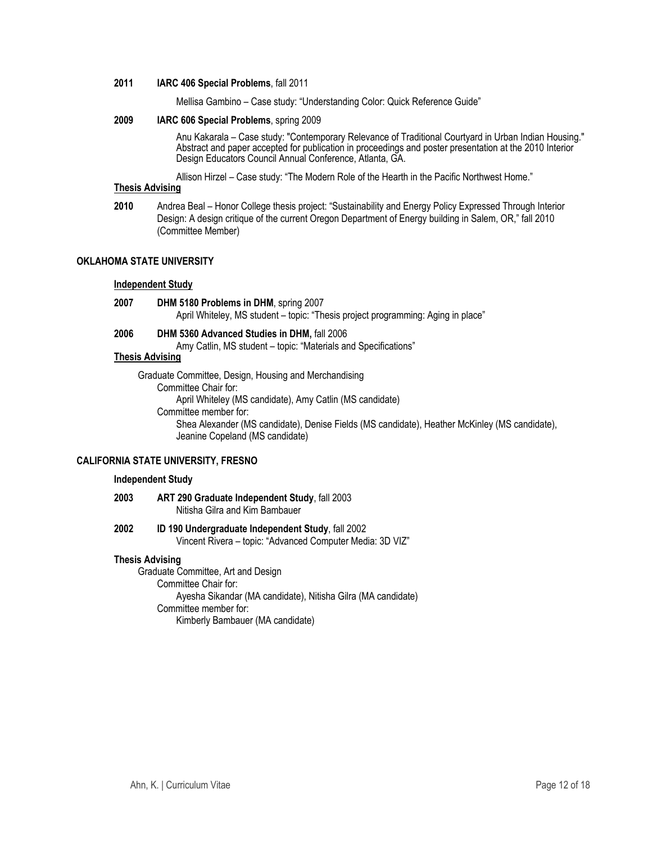#### **2011 IARC 406 Special Problems**, fall 2011

Mellisa Gambino – Case study: "Understanding Color: Quick Reference Guide"

#### **2009 IARC 606 Special Problems**, spring 2009

 Anu Kakarala – Case study: "Contemporary Relevance of Traditional Courtyard in Urban Indian Housing." Abstract and paper accepted for publication in proceedings and poster presentation at the 2010 Interior Design Educators Council Annual Conference, Atlanta, GA.

Allison Hirzel – Case study: "The Modern Role of the Hearth in the Pacific Northwest Home."

## **Thesis Advising**

 **2010** Andrea Beal – Honor College thesis project: "Sustainability and Energy Policy Expressed Through Interior Design: A design critique of the current Oregon Department of Energy building in Salem, OR," fall 2010 (Committee Member)

#### **OKLAHOMA STATE UNIVERSITY**

#### **Independent Study**

- **2007 DHM 5180 Problems in DHM**, spring 2007 April Whiteley, MS student – topic: "Thesis project programming: Aging in place"
- **2006 DHM 5360 Advanced Studies in DHM,** fall 2006 Amy Catlin, MS student – topic: "Materials and Specifications"

## **Thesis Advising**

Graduate Committee, Design, Housing and Merchandising Committee Chair for: April Whiteley (MS candidate), Amy Catlin (MS candidate) Committee member for: Shea Alexander (MS candidate), Denise Fields (MS candidate), Heather McKinley (MS candidate), Jeanine Copeland (MS candidate)

## **CALIFORNIA STATE UNIVERSITY, FRESNO**

## **Independent Study**

- **2003 ART 290 Graduate Independent Study**, fall 2003 Nitisha Gilra and Kim Bambauer
- **2002 ID 190 Undergraduate Independent Study**, fall 2002 Vincent Rivera – topic: "Advanced Computer Media: 3D VIZ"

#### **Thesis Advising**

Graduate Committee, Art and Design Committee Chair for: Ayesha Sikandar (MA candidate), Nitisha Gilra (MA candidate) Committee member for: Kimberly Bambauer (MA candidate)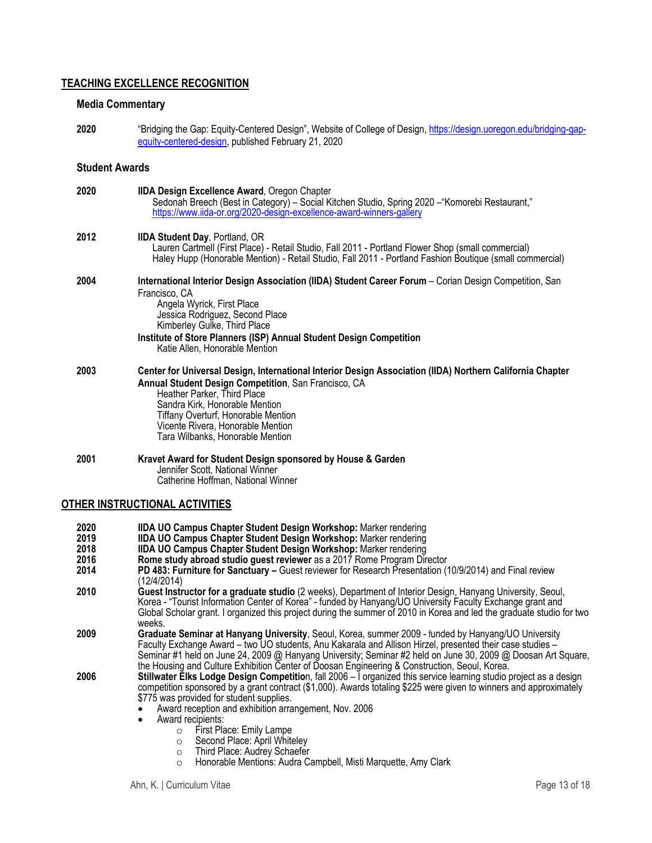## **TEACHING EXCELLENCE RECOGNITION**

#### **Media Commentary**

**2020** "Bridging the Gap: Equity-Centered Design", Website of College of Design, https://design.uoregon.edu/bridging-gapequity-centered-design, published February 21, 2020

#### **Student Awards**

| 2020 | <b>IIDA Design Excellence Award, Oregon Chapter</b><br>Sedonah Breech (Best in Category) – Social Kitchen Studio, Spring 2020 – "Komorebi Restaurant,"<br>https://www.iida-or.org/2020-design-excellence-award-winners-gallery                                                                                                                            |
|------|-----------------------------------------------------------------------------------------------------------------------------------------------------------------------------------------------------------------------------------------------------------------------------------------------------------------------------------------------------------|
| 2012 | <b>IIDA Student Day, Portland, OR</b><br>Lauren Cartmell (First Place) - Retail Studio, Fall 2011 - Portland Flower Shop (small commercial)<br>Haley Hupp (Honorable Mention) - Retail Studio, Fall 2011 - Portland Fashion Boutique (small commercial)                                                                                                   |
| 2004 | International Interior Design Association (IIDA) Student Career Forum - Corian Design Competition, San<br>Francisco, CA<br>Angela Wyrick, First Place<br>Jessica Rodriguez, Second Place<br>Kimberley Gulke, Third Place<br>Institute of Store Planners (ISP) Annual Student Design Competition<br>Katie Allen, Honorable Mention                         |
| 2003 | Center for Universal Design, International Interior Design Association (IIDA) Northern California Chapter<br>Annual Student Design Competition, San Francisco, CA<br>Heather Parker, Third Place<br>Sandra Kirk, Honorable Mention<br><b>Tiffany Overturf, Honorable Mention</b><br>Vicente Rivera, Honorable Mention<br>Tara Wilbanks, Honorable Mention |
| 2001 | Kravet Award for Student Design sponsored by House & Garden<br>Jennifer Scott, National Winner<br>Catherine Hoffman, National Winner                                                                                                                                                                                                                      |

## **OTHER INSTRUCTIONAL ACTIVITIES**

- **2020 IIDA UO Campus Chapter Student Design Workshop:** Marker rendering
- **2019 IIDA UO Campus Chapter Student Design Workshop:** Marker rendering
- 
- **2018 IIDA UO Campus Chapter Student Design Workshop:** Marker rendering
- **2014 PD 483: Furniture for Sanctuary –** Guest reviewer for Research Presentation (10/9/2014) and Final review (12/4/2014)
- **2010 Guest Instructor for a graduate studio** (2 weeks), Department of Interior Design, Hanyang University, Seoul, Korea - "Tourist Information Center of Korea" - funded by Hanyang/UO University Faculty Exchange grant and Global Scholar grant. I organized this project during the summer of 2010 in Korea and led the graduate studio for two weeks.
- **2009 Graduate Seminar at Hanyang University**, Seoul, Korea, summer 2009 funded by Hanyang/UO University Faculty Exchange Award – two UO students, Anu Kakarala and Allison Hirzel, presented their case studies – Seminar #1 held on June 24, 2009 @ Hanyang University; Seminar #2 held on June 30, 2009 @ Doosan Art Square, the Housing and Culture Exhibition Center of Doosan Engineering & Construction, Seoul, Korea.
- **2006 Stillwater Elks Lodge Design Competitio**n, fall 2006 I organized this service learning studio project as a design competition sponsored by a grant contract (\$1,000). Awards totaling \$225 were given to winners and approximately \$775 was provided for student supplies.
	- Award reception and exhibition arrangement, Nov. 2006
	- Award recipients:
		- o First Place: Emily Lampe
		- o Second Place: April Whiteley
		- o Third Place: Audrey Schaefer
		- o Honorable Mentions: Audra Campbell, Misti Marquette, Amy Clark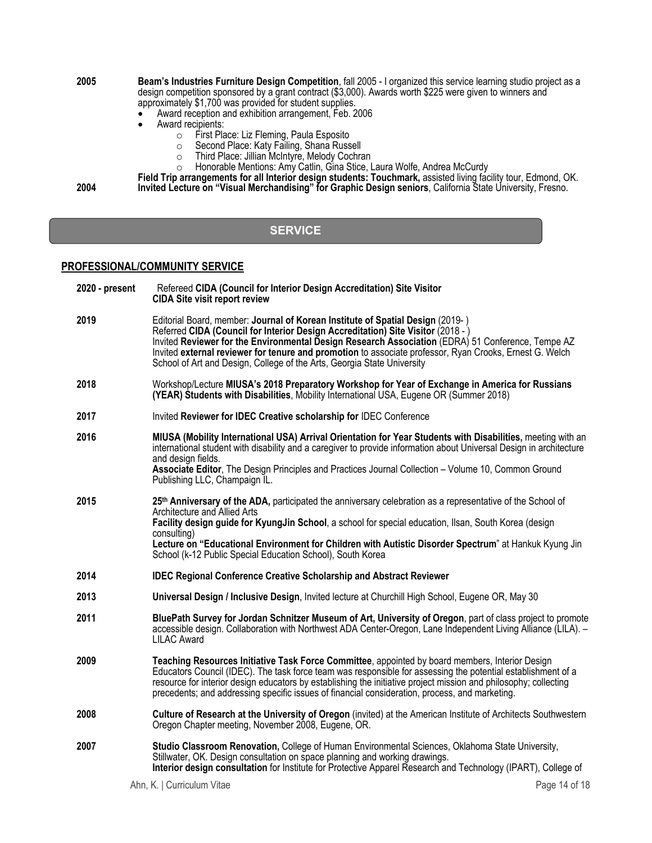#### **2005 Beam's Industries Furniture Design Competition**, fall 2005 - I organized this service learning studio project as a design competition sponsored by a grant contract (\$3,000). Awards worth \$225 were given to winners and approximately \$1,700 was provided for student supplies.

- Award reception and exhibition arrangement, Feb. 2006<br>• Award recipients:<br>• First Place: Liz Fleming, Paula Esposito
- - o First Place: Liz Fleming, Paula Esposito
		- o Second Place: Katy Failing, Shana Russell
		- o Third Place: Jillian McIntyre, Melody Cochran
		- o Honorable Mentions: Amy Catlin, Gina Stice, Laura Wolfe, Andrea McCurdy

**Field Trip arrangements for all Interior design students: Touchmark,** assisted living facility tour, Edmond, OK. **2004 Invited Lecture on "Visual Merchandising" for Graphic Design seniors**, California State University, Fresno.

# **SERVICE**

#### **PROFESSIONAL/COMMUNITY SERVICE**

| 2020 - present | Refereed CIDA (Council for Interior Design Accreditation) Site Visitor<br><b>CIDA Site visit report review</b>                                                                                                                                                                                                                                                                                                                                                |
|----------------|---------------------------------------------------------------------------------------------------------------------------------------------------------------------------------------------------------------------------------------------------------------------------------------------------------------------------------------------------------------------------------------------------------------------------------------------------------------|
| 2019           | Editorial Board, member: Journal of Korean Institute of Spatial Design (2019-)<br>Referred CIDA (Council for Interior Design Accreditation) Site Visitor (2018 - )<br>Invited Reviewer for the Environmental Design Research Association (EDRA) 51 Conference, Tempe AZ<br>Invited external reviewer for tenure and promotion to associate professor, Ryan Crooks, Ernest G. Welch<br>School of Art and Design, College of the Arts, Georgia State University |
| 2018           | Workshop/Lecture MIUSA's 2018 Preparatory Workshop for Year of Exchange in America for Russians<br>(YEAR) Students with Disabilities, Mobility International USA, Eugene OR (Summer 2018)                                                                                                                                                                                                                                                                     |
| 2017           | Invited Reviewer for IDEC Creative scholarship for IDEC Conference                                                                                                                                                                                                                                                                                                                                                                                            |
| 2016           | MIUSA (Mobility International USA) Arrival Orientation for Year Students with Disabilities, meeting with an<br>international student with disability and a caregiver to provide information about Universal Design in architecture<br>and design fields.<br>Associate Editor, The Design Principles and Practices Journal Collection - Volume 10, Common Ground<br>Publishing LLC, Champaign IL.                                                              |
| 2015           | 25th Anniversary of the ADA, participated the anniversary celebration as a representative of the School of<br>Architecture and Allied Arts<br>Facility design guide for KyungJin School, a school for special education, Ilsan, South Korea (design<br>consulting)<br>Lecture on "Educational Environment for Children with Autistic Disorder Spectrum" at Hankuk Kyung Jin<br>School (k-12 Public Special Education School), South Korea                     |
| 2014           | <b>IDEC Regional Conference Creative Scholarship and Abstract Reviewer</b>                                                                                                                                                                                                                                                                                                                                                                                    |
| 2013           | Universal Design / Inclusive Design, Invited lecture at Churchill High School, Eugene OR, May 30                                                                                                                                                                                                                                                                                                                                                              |
| 2011           | BluePath Survey for Jordan Schnitzer Museum of Art, University of Oregon, part of class project to promote<br>accessible design. Collaboration with Northwest ADA Center-Oregon, Lane Independent Living Alliance (LILA). -<br><b>LILAC Award</b>                                                                                                                                                                                                             |
| 2009           | Teaching Resources Initiative Task Force Committee, appointed by board members, Interior Design<br>Educators Council (IDEC). The task force team was responsible for assessing the potential establishment of a<br>resource for interior design educators by establishing the initiative project mission and philosophy; collecting<br>precedents; and addressing specific issues of financial consideration, process, and marketing.                         |
| 2008           | Culture of Research at the University of Oregon (invited) at the American Institute of Architects Southwestern<br>Oregon Chapter meeting, November 2008, Eugene, OR.                                                                                                                                                                                                                                                                                          |
| 2007           | Studio Classroom Renovation, College of Human Environmental Sciences, Oklahoma State University,<br>Stillwater, OK. Design consultation on space planning and working drawings.<br>Interior design consultation for Institute for Protective Apparel Research and Technology (IPART), College of                                                                                                                                                              |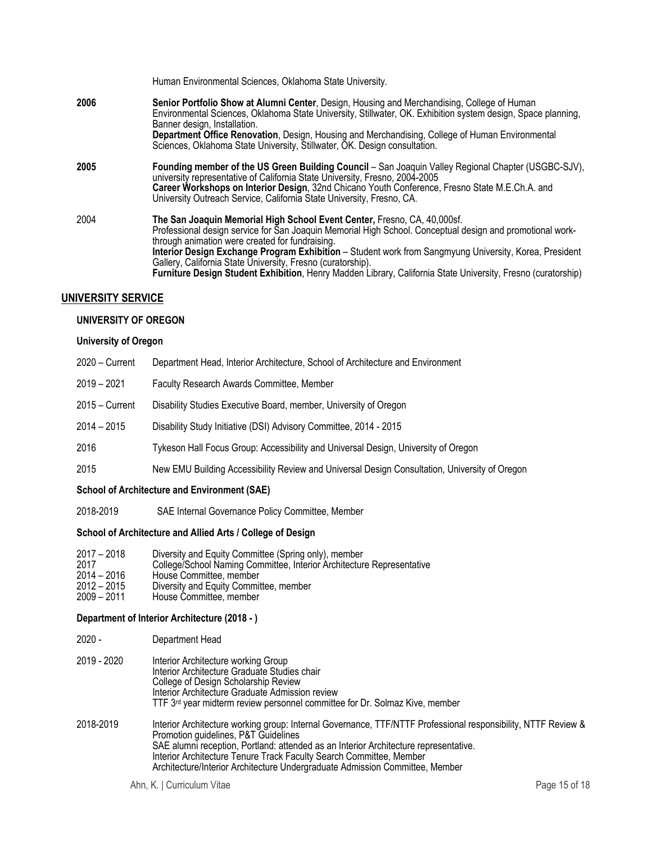|      | Human Environmental Sciences, Oklahoma State University.                                                                                                                                                                                                                                                                                                                                                                                                                                                                          |
|------|-----------------------------------------------------------------------------------------------------------------------------------------------------------------------------------------------------------------------------------------------------------------------------------------------------------------------------------------------------------------------------------------------------------------------------------------------------------------------------------------------------------------------------------|
| 2006 | Senior Portfolio Show at Alumni Center, Design, Housing and Merchandising, College of Human<br>Environmental Sciences, Oklahoma State University, Stillwater, OK. Exhibition system design, Space planning,<br>Banner design, Installation.<br><b>Department Office Renovation, Design, Housing and Merchandising, College of Human Environmental</b><br>Sciences, Oklahoma State University, Stillwater, OK. Design consultation.                                                                                                |
| 2005 | Founding member of the US Green Building Council – San Joaquin Valley Regional Chapter (USGBC-SJV),<br>university representative of California State University, Fresno, 2004-2005<br>Career Workshops on Interior Design, 32nd Chicano Youth Conference, Fresno State M.E.Ch.A. and<br>University Outreach Service, California State University, Fresno, CA.                                                                                                                                                                     |
| 2004 | The San Joaquin Memorial High School Event Center, Fresno, CA, 40,000sf.<br>Professional design service for San Joaquin Memorial High School. Conceptual design and promotional work-<br>through animation were created for fundraising.<br>Interior Design Exchange Program Exhibition - Student work from Sangmyung University, Korea, President<br>Gallery. California State University, Fresno (curatorship).<br>Furniture Design Student Exhibition, Henry Madden Library, California State University, Fresno (curatorship) |

# **UNIVERSITY SERVICE**

## **UNIVERSITY OF OREGON**

## **University of Oregon**

| <b>School of Architecture and Environment (SAE)</b> |                                                                                               |  |
|-----------------------------------------------------|-----------------------------------------------------------------------------------------------|--|
| 2015                                                | New EMU Building Accessibility Review and Universal Design Consultation, University of Oregon |  |
| 2016                                                | Tykeson Hall Focus Group: Accessibility and Universal Design, University of Oregon            |  |
| $2014 - 2015$                                       | Disability Study Initiative (DSI) Advisory Committee, 2014 - 2015                             |  |
| $2015 -$ Current                                    | Disability Studies Executive Board, member, University of Oregon                              |  |
| $2019 - 2021$                                       | Faculty Research Awards Committee, Member                                                     |  |
| $2020 -$ Current                                    | Department Head, Interior Architecture, School of Architecture and Environment                |  |

2018-2019 SAE Internal Governance Policy Committee, Member

#### **School of Architecture and Allied Arts / College of Design**

| 2017 – 2018 | Diversity and Equity Committee (Spring only), member                  |
|-------------|-----------------------------------------------------------------------|
| 2017        | College/School Naming Committee, Interior Architecture Representative |
| .           |                                                                       |

- 2014 2016 House Committee, member
- 2012 2015 Diversity and Equity Committee, member
- 2009 2011 House Committee, member

## **Department of Interior Architecture (2018 - )**

| $2020 -$    | Department Head                                                                                                                                                                                                                                                                                                                                                                                      |
|-------------|------------------------------------------------------------------------------------------------------------------------------------------------------------------------------------------------------------------------------------------------------------------------------------------------------------------------------------------------------------------------------------------------------|
| 2019 - 2020 | Interior Architecture working Group<br>Interior Architecture Graduate Studies chair<br>College of Design Scholarship Review<br>Interior Architecture Graduate Admission review<br>TTF 3 <sup>rd</sup> year midterm review personnel committee for Dr. Solmaz Kive, member                                                                                                                            |
| 2018-2019   | Interior Architecture working group: Internal Governance, TTF/NTTF Professional responsibility, NTTF Review &<br>Promotion guidelines, P&T Guidelines<br>SAE alumni reception, Portland: attended as an Interior Architecture representative.<br>Interior Architecture Tenure Track Faculty Search Committee, Member<br>Architecture/Interior Architecture Undergraduate Admission Committee, Member |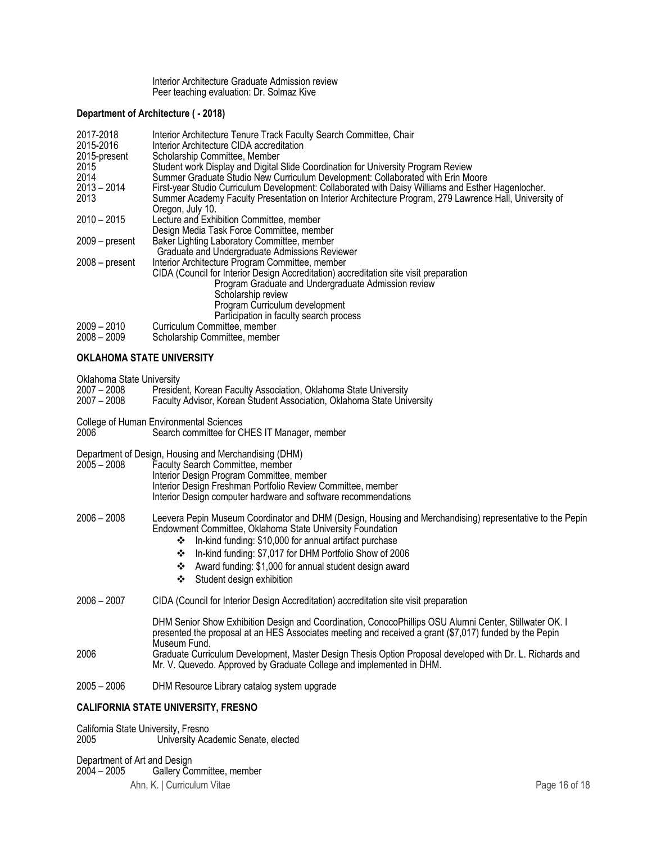Interior Architecture Graduate Admission review Peer teaching evaluation: Dr. Solmaz Kive

#### **Department of Architecture ( - 2018)**

| 2017-2018        | Interior Architecture Tenure Track Faculty Search Committee, Chair                                     |
|------------------|--------------------------------------------------------------------------------------------------------|
| 2015-2016        | Interior Architecture CIDA accreditation                                                               |
| 2015-present     | Scholarship Committee, Member                                                                          |
| 2015             | Student work Display and Digital Slide Coordination for University Program Review                      |
| 2014             | Summer Graduate Studio New Curriculum Development: Collaborated with Erin Moore                        |
| $2013 - 2014$    | First-year Studio Curriculum Development: Collaborated with Daisy Williams and Esther Hagenlocher.     |
| 2013             | Summer Academy Faculty Presentation on Interior Architecture Program, 279 Lawrence Hall, University of |
|                  | Oregon, July 10.                                                                                       |
| $2010 - 2015$    | Lecture and Exhibition Committee, member                                                               |
|                  | Design Media Task Force Committee, member                                                              |
| $2009 - present$ | Baker Lighting Laboratory Committee, member                                                            |
|                  | Graduate and Undergraduate Admissions Reviewer                                                         |
| $2008 - present$ | Interior Architecture Program Committee, member                                                        |
|                  | CIDA (Council for Interior Design Accreditation) accreditation site visit preparation                  |
|                  | Program Graduate and Undergraduate Admission review                                                    |
|                  | Scholarship review                                                                                     |
|                  | Program Curriculum development                                                                         |
|                  | Participation in faculty search process                                                                |
| $2009 - 2010$    | Curriculum Committee, member                                                                           |
| $2008 - 2009$    | Scholarship Committee, member                                                                          |
|                  |                                                                                                        |
|                  |                                                                                                        |

## **OKLAHOMA STATE UNIVERSITY**

Oklahoma State University

| $2007 - 2008$<br>$2007 - 2008$ | President, Korean Faculty Association, Oklahoma State University<br>Faculty Advisor, Korean Student Association, Oklahoma State University                                                                                                                              |
|--------------------------------|-------------------------------------------------------------------------------------------------------------------------------------------------------------------------------------------------------------------------------------------------------------------------|
| 2006                           | College of Human Environmental Sciences<br>Search committee for CHES IT Manager, member                                                                                                                                                                                 |
| $2005 - 2008$                  | Department of Design, Housing and Merchandising (DHM)<br>Faculty Search Committee, member<br>Interior Design Program Committee, member<br>Interior Design Freshman Portfolio Review Committee, member<br>Interior Design computer hardware and software recommendations |

## 2006 – 2008 Leevera Pepin Museum Coordinator and DHM (Design, Housing and Merchandising) representative to the Pepin Endowment Committee, Oklahoma State University Foundation

- In-kind funding: \$10,000 for annual artifact purchase
- In-kind funding: \$7,017 for DHM Portfolio Show of 2006
- Award funding: \$1,000 for annual student design award
- Student design exhibition
- 2006 2007 CIDA (Council for Interior Design Accreditation) accreditation site visit preparation

|      | DHM Senior Show Exhibition Design and Coordination, ConocoPhillips OSU Alumni Center, Stillwater OK. I   |
|------|----------------------------------------------------------------------------------------------------------|
|      | presented the proposal at an HES Associates meeting and received a grant (\$7,017) funded by the Pepin   |
|      | Museum Fund.                                                                                             |
| 2006 | Graduate Curriculum Development, Master Design Thesis Option Proposal developed with Dr. L. Richards and |
|      | Mr. V. Quevedo. Approved by Graduate College and implemented in DHM.                                     |

2005 – 2006 DHM Resource Library catalog system upgrade

## **CALIFORNIA STATE UNIVERSITY, FRESNO**

California State University, Fresno<br>2005 University Aca University Academic Senate, elected

Ahn, K. | Curriculum Vitae Page 16 of 18 Department of Art and Design<br>2004 – 2005 Gallery Co Gallery Committee, member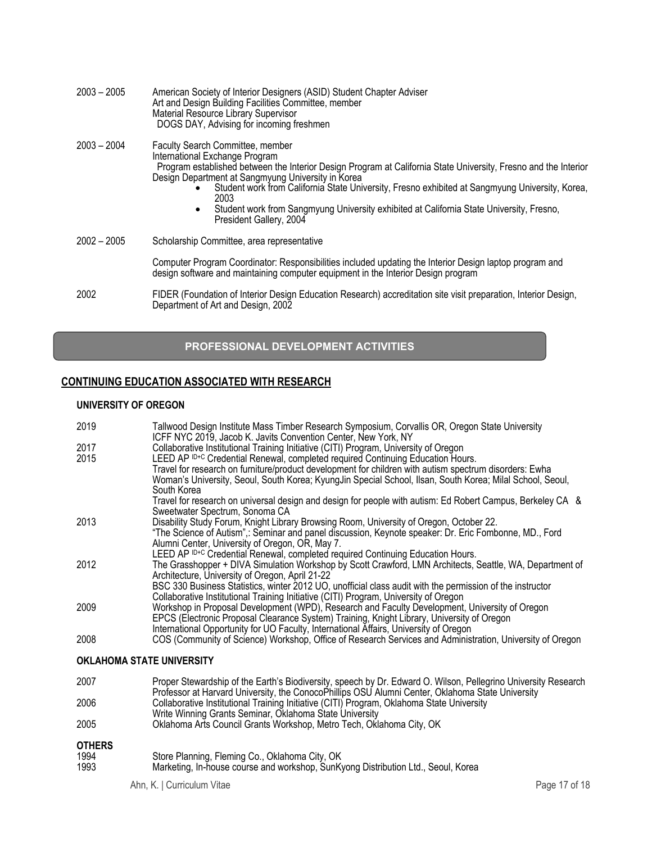| $2003 - 2005$ | American Society of Interior Designers (ASID) Student Chapter Adviser<br>Art and Design Building Facilities Committee, member<br>Material Resource Library Supervisor<br>DOGS DAY, Advising for incoming freshmen                                                                                                                                                                                                                                                                                 |
|---------------|---------------------------------------------------------------------------------------------------------------------------------------------------------------------------------------------------------------------------------------------------------------------------------------------------------------------------------------------------------------------------------------------------------------------------------------------------------------------------------------------------|
| $2003 - 2004$ | <b>Faculty Search Committee, member</b><br>International Exchange Program<br>Program established between the Interior Design Program at California State University, Fresno and the Interior<br>Design Department at Sangmyung University in Korea<br>Student work from California State University, Fresno exhibited at Sangmyung University, Korea,<br>2003<br>Student work from Sangmyung University exhibited at California State University, Fresno,<br>$\bullet$<br>President Gallery, 2004 |
| $2002 - 2005$ | Scholarship Committee, area representative                                                                                                                                                                                                                                                                                                                                                                                                                                                        |
|               | Computer Program Coordinator: Responsibilities included updating the Interior Design laptop program and<br>design software and maintaining computer equipment in the Interior Design program                                                                                                                                                                                                                                                                                                      |
| 2002          | FIDER (Foundation of Interior Design Education Research) accreditation site visit preparation, Interior Design,<br>Department of Art and Design, 2002                                                                                                                                                                                                                                                                                                                                             |

# **PROFESSIONAL DEVELOPMENT ACTIVITIES**

# **CONTINUING EDUCATION ASSOCIATED WITH RESEARCH**

## **UNIVERSITY OF OREGON**

| 2019                             | Tallwood Design Institute Mass Timber Research Symposium, Corvallis OR, Oregon State University<br>ICFF NYC 2019, Jacob K. Javits Convention Center, New York, NY                            |  |
|----------------------------------|----------------------------------------------------------------------------------------------------------------------------------------------------------------------------------------------|--|
| 2017                             | Collaborative Institutional Training Initiative (CITI) Program, University of Oregon                                                                                                         |  |
| 2015                             | LEED AP ID+C Credential Renewal, completed required Continuing Education Hours.<br>Travel for research on furniture/product development for children with autism spectrum disorders: Ewha    |  |
|                                  | Woman's University, Seoul, South Korea; KyungJin Special School, Ilsan, South Korea; Milal School, Seoul,                                                                                    |  |
|                                  | South Korea                                                                                                                                                                                  |  |
|                                  | Travel for research on universal design and design for people with autism: Ed Robert Campus, Berkeley CA &<br>Sweetwater Spectrum, Sonoma CA                                                 |  |
| 2013                             | Disability Study Forum, Knight Library Browsing Room, University of Oregon, October 22.                                                                                                      |  |
|                                  | "The Science of Autism",: Seminar and panel discussion, Keynote speaker: Dr. Eric Fombonne, MD., Ford<br>Alumni Center, University of Oregon, OR, May 7.                                     |  |
|                                  | LEED AP ID+C Credential Renewal, completed required Continuing Education Hours.                                                                                                              |  |
| 2012                             | The Grasshopper + DIVA Simulation Workshop by Scott Crawford, LMN Architects, Seattle, WA, Department of                                                                                     |  |
|                                  | Architecture, University of Oregon, April 21-22<br>BSC 330 Business Statistics, winter 2012 UO, unofficial class audit with the permission of the instructor                                 |  |
|                                  | Collaborative Institutional Training Initiative (CITI) Program, University of Oregon                                                                                                         |  |
| 2009                             | Workshop in Proposal Development (WPD), Research and Faculty Development, University of Oregon<br>EPCS (Electronic Proposal Clearance System) Training, Knight Library, University of Oregon |  |
|                                  | International Opportunity for UO Faculty, International Affairs, University of Oregon                                                                                                        |  |
| 2008                             | COS (Community of Science) Workshop, Office of Research Services and Administration, University of Oregon                                                                                    |  |
| <b>OKLAHOMA STATE UNIVERSITY</b> |                                                                                                                                                                                              |  |
| 2007                             | Proper Stewardship of the Earth's Biodiversity, speech by Dr. Edward O. Wilson, Pellegrino University Research                                                                               |  |
|                                  | Professor at Harvard University, the ConocoPhillips OSU Alumni Center, Oklahoma State University                                                                                             |  |
| 2006                             | Collaborative Institutional Training Initiative (CITI) Program, Oklahoma State University<br>Write Winning Grants Seminar, Oklahoma State University                                         |  |
| 2005                             | Oklahoma Arts Council Grants Workshop, Metro Tech, Oklahoma City, OK                                                                                                                         |  |

# **OTHERS**

| 1994 | Store Planning, Fleming Co., Oklahoma City, OK |  |
|------|------------------------------------------------|--|
|      |                                                |  |

1993 Marketing, In-house course and workshop, SunKyong Distribution Ltd., Seoul, Korea